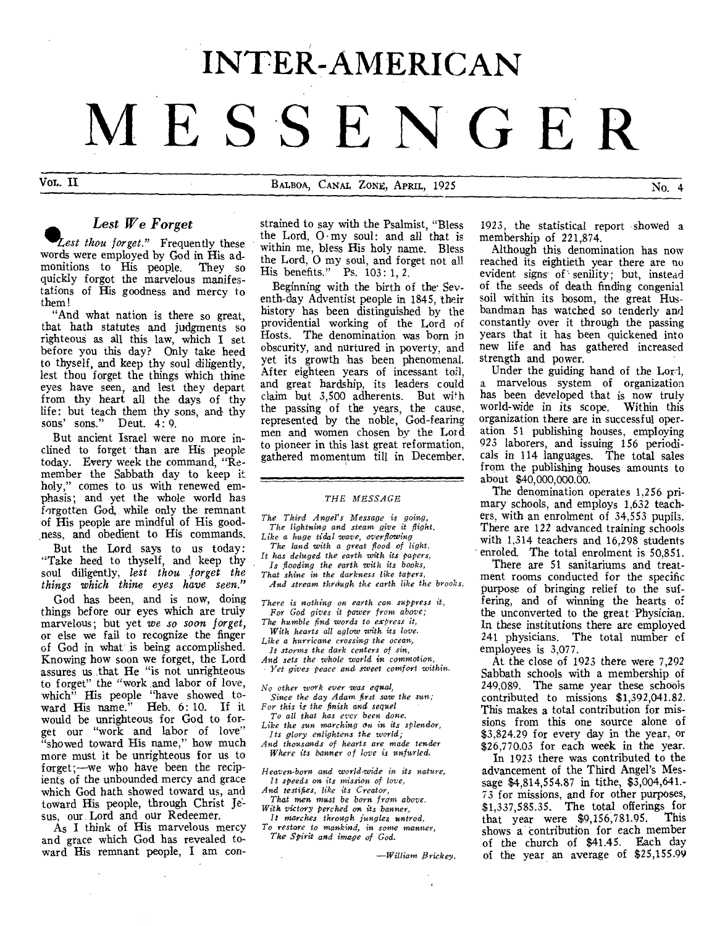# **INTER-AMERICAN MESSENGER**

VOL. II BALBOA, CANAL ZONE, APRIL, 1925 No. 4

# *Lest We Forget*

*°Lest thou forget."* Frequently these words were employed by God in His ad-<br>monitions to His people. They so monitions to His people. quickly forgot the marvelous manifestations of His goodness and mercy to them!

"And what nation is there so great, that hath statutes and judgments so righteous as all this law, which I set before you this day? Only take heed to thyself, and keep thy soul diligently, lest thou forget the things which thine eyes have seen, and lest they depart from thy heart all the days of thy life: but teach them thy sons, and thy sons' sons." Deut. 4: 9.

But ancient Israel were no more inclined to forget than are His people today. Every week the command, "Remember the Sabbath day to keep it holy," comes to us with renewed emphasis; and yet the whole world has forgotten God, while only the remnant of His people are mindful of His goodness, and obedient to His commands.

But the Lord says to us today: "Take heed to thyself, and keep thy soul diligently, *lest thou forget the things which thine eyes have seen."* 

God has been, and is now, doing things before our eyes which are truly marvelous; but yet *we so soon forget,*  or else we fail to recognize the finger of God in what is being accomplished. Knowing how soon we forget, the Lord assures us that He "is not unrighteous to forget" the "work and labor of love, which" His people "have showed to-ward His name." Heb. 6: 10. If it would be unrighteous for God to forget our "work and labor of love" "showed toward His name," how much more must it be unrighteous for us to forget;—we who have been the recipients of the unbounded mercy and grace which God hath showed toward us, and toward His people, through Christ Jesus, our. Lord and our Redeemer.

As I think of His marvelous mercy and grace which God has revealed toward His remnant people, I am constrained to say with the Psalmist, "Bless the Lord,  $0 \cdot my$  soul: and all that is within me, bless His holy name. Bless the Lord, 0 my soul, and forget not all His benefits." Ps. 103: 1, 2.

Beginning with the birth of the Seventh-day Adventist people in 1845, their history has been distinguished by the providential working of the Lord of Hosts. The denomination was born in obscurity, and nurtured in poverty, and yet its growth has been phenomenal. After eighteen years of incessant toil, and great hardship, its leaders could claim but 3,500 adherents. But with the passing of the years, the cause, represented by the noble, God-fearing men and women chosen by the Lord to pioneer in this last great reformation, gathered momentum till in December,

#### *THE MESSAGE*

*The Third Angel's Message is going, The lightning and steam give it flight.* 

- *Like* a *huge tidal wave, overflowing The land with a great flood of light.*
- *It has deluged the earth with its papers, Is flooding the earth with its books,*
- *That shine in the darkness like tapers,*

*And stream through the earth like the brooks.* 

*There is nothing on earth can suppress it, For God gives it power from above;* 

*The humble find words to express it,* 

*With hearts all aglow with its love.* 

*Like a hurricane crossing the ocean, It storms the dark centers of sin,* 

*And sets the whole world* in *commotion,* 

*Yet gives peace and sweet comfort within.* 

*No other work ever was equal,* 

- *Since the day Adam first saw the sun; For this is the finish and sequel*
- *To all that has ever been done. Like the sun marching on in its splendor,*

*Its glory enlightens the world;* 

*And thousands of hearts are made tender Where its banner of love is unfurled.* 

*Heaven-born and world-wide in its nature, It speeds on its mission of love, And testifies, like its Creator,* 

*That men must be born from above. With victory perched on its banner,* 

*It marches through jungles untrod, To restore to mankind, in some* manner,

*The Spirit and image of God.* 

*Brickey.* 

1923, the statistical report showed a membership of 221,874.

Although this denomination has now reached its eightieth year there are no evident signs of senility; but, instead of the seeds of death finding congenial soil within its bosom, the great Husbandman has watched so tenderly and constantly over it through the passing years that it has been quickened into new life and has gathered increased strength and power.

Under the guiding hand of the Lor-1, a marvelous system of organization has been developed that is now truly world-wide in its scope. Within this organization there are in successful operation 51 publishing houses, employing 923 laborers, and issuing 156 periodicals in 114 languages. The total sales from the publishing houses amounts to about \$40,000,000.00.

The denomination operates 1,256 primary schools, and employs 1,632 teachers, with an enrolment of 34,553 pupils. There are 122 advanced training schools with 1,314 teachers and 16,298 students enroled. The total enrolment is 50,851.

There are 51 sanitariums and treatment rooms conducted for the specific purpose of bringing relief to the suffering, and of winning the hearts of the unconverted to the great Physician. In these institutions there are employed 241 physicians. The total number of employees is 3,077.

At the close of 1923 there were 7,292 Sabbath schools with a membership of 249,089. The same year these schools contributed to missions \$1,392,041.82. This makes a total contribution for missions from this one source alone of \$3,824.29 for every day in the year, or \$26,770.03 for each week in the year.

In 1923 there was contributed to the advancement of the Third Angel's Message \$4,814,554.87 in tithe, \$3,004,641.- 73 for missions, and for other purposes, \$1,337,585.35. The total offerings for that year were  $$9,156,781.95$ . shows a contribution for each member of the church of \$41.45. Each day of the year an average of \$25,155.99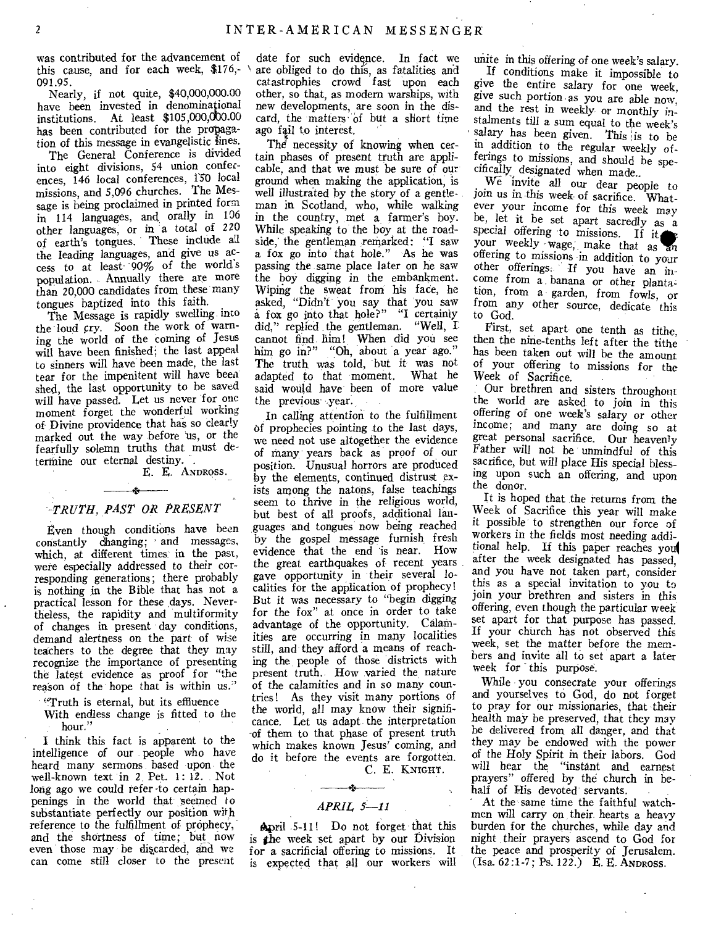was contributed for the advancement of this cause, and for each week,  $$176,-$ 091.95.

Nearly, if not quite, \$40,000,000.00 have been invested in denominational institutions. At least  $$105,000,000.00$ has been contributed for the propagation of this message in evangelistic lines.

The General Conference is divided into eight divisions, 54 union conferences, 146 local conferences, 150 local missions, and 5,096 churches. The Message is being proclaimed in printed form in 114 languages, and orally in 106 other languages, or in a total of 220 of earth's tongues. These include all the leading languages, and give us access to at least' '90% of the world's population. Annually there are more than 20,000 candidates from these many tongues baptized into this faith.

The Message is rapidly swelling into the loud cry. Soon the work of warning the world of the coming of Jesus will have been finished; the last appeal to sinners will have been made, the last tear for the impenitent will have been shed, the last opportunity to be saved will have passed. Let us never for one moment forget the wonderful working of Divine providence that has so clearly marked out the way before 'us, or the fearfully solemn truths that must determine our eternal destiny.

E. E. ANDROSS.

#### *TRUTH, PAST OR PRESENT*

 $\mathbf{r} = \mathbf{r}$ 

Even though conditions have been constantly changing; and messages, which, at different times' in the past, were especially addressed to their corresponding generations; there probably is nothing in the Bible that has not a practical lesson for these days. Nevertheless, the rapidity and multiformity of changes in present day conditions, demand alertness on the part of wise teachers to the degree that they may recognize the importance of presenting the latest evidence as proof for "the reason of the hope that is within us."

"Truth is eternal, but its effluence With endless change is fitted to the hour."

I think this fact is apparent to the intelligence of our people who have heard many sermons based upon the well-known text in 2. Pet. 1: 12. Not long ago we could refer -to certain happenings in the world that seemed to substantiate perfectly our position with reference to the fulfillment of prophecy, and the shortness of time; but now even those may be discarded, and we can come still closer to the present

date for such evidence. In fact we are obliged to do this, as fatalities and catastrophies crowd fast upon each other, so that, as modern warships, with new developments, are soon in the discard, the matters of but a short time ago fail to interest.

The necessity of knowing when certain phases of present truth are applicable, and that we must be sure of our ground when making the application, is well illustrated by the story of a gentleman in Scotland, who, while walking in the country, met a farmer's boy. While speaking to the boy at the roadside,' the gentleman remarked: "I saw a fox go into that hole." As he was passing the same place later on he saw the boy digging in the embankment. Wiphig the sweat from his face, he asked, "Didn't you say that you saw a fox go into that hole?" "I certainly did," replied the gentleman. "Well, I cannot find him! When did you *see*  him go in?" "Oh, about a year ago." The truth, was told, but it was not adapted to that moment. What he said would have been of more value the previous year.

In calling attention to the fulfillment of prophecies pointing to the last days, we need not use altogether the evidence of many years back as proof of our position. Unusual horrors are produced by the elements, continued distrust exists among the natons, false teachings seem to thrive in the religious world, but best of all proofs, additional languages and tongues now being reached by the gospel message furnish, fresh evidence that the end is near. How the great earthquakes of recent years gave opportunity in their several localities for the application of prophecy! But it was necessary to "begin digging for the fox" at once in order to take advantage of the opportunity. Calamities are occurring in many localities still, and they afford a means of reaching the people of those districts with present truth. How varied the nature of the calamities and in so many countries! As they visit many portions of the world, all may know their significance. Let us adapt the interpretation -of them to that phase of present truth which makes known Jesus' coming, and do it before the events are forgotten.

C. E. KNIGHT.

 $\alpha = 1$  , where  $+1$ *APRIL 5-11* 

April 5-11! Do not forget that this is the week set apart by our Division for a sacrificial offering to missions. It is expected that all our workers will unite in this offering of one week's salary. If conditions make it impossible to

*give* the entire salary for one week, give such portion. as you are able now, and the rest in weekly or monthly instalments till a sum equal to the week's salary has been given. This is to be in addition to the regular weekly offerings to missions, and should be specifically designated when made..

We invite all our dear people to join us in this week of sacrifice. 'Whatever your income for this week *may*  be, let it be set apart sacredly as a special offering to missions. If *it*  your weekly wage, make that as an offering to missions in addition to your other offerings. If you have an income from a banana or other plantation, from a garden, from fowls, or from any other source, dedicate this to God.

First, set apart- one tenth as tithe, then the nine-tenths left after the tithe has been taken out will be the amount of your offering to missions for the Week of Sacrifice.

Our brethren and sisters throughout the world are asked to join in this offering of one week's salary or other income; and many are doing so at great personal sacrifice. Our heavenly Father will not be unmindful of this sacrifice, but will place His special blessing upon such an offering, and upon the donor.

It is hoped that the returns from the Week of Sacrifice this year will make it possible to strengthen our force of workers in the fields most needing additional help. If this paper reaches you) after the week designated has passed, and you have not taken part, consider this as a special invitation to you to join your brethren and sisters in this offering, even though the particular week set apart for that purpose has passed. If your church has not observed this week, set the matter before the members and invite all to set apart a later week for this purpose.

While you consecrate your offerings and yourselves to God, do not forget to pray for our missionaries, that their health may be preserved, that they may be delivered from all danger, and that they may be endowed with the power of the Holy Spirit in their labors. God will hear the "instant and earnest prayers" offered by the church in behalf of His devoted servants.

At the same time the faithful watchmen will carry on their hearts a heavy burden for the churches, while day and night their prayers ascend to God for the peace and prosperity of Jerusalem. (Isa. 62:1-7; Ps. 122.) E. E. ANDROSS.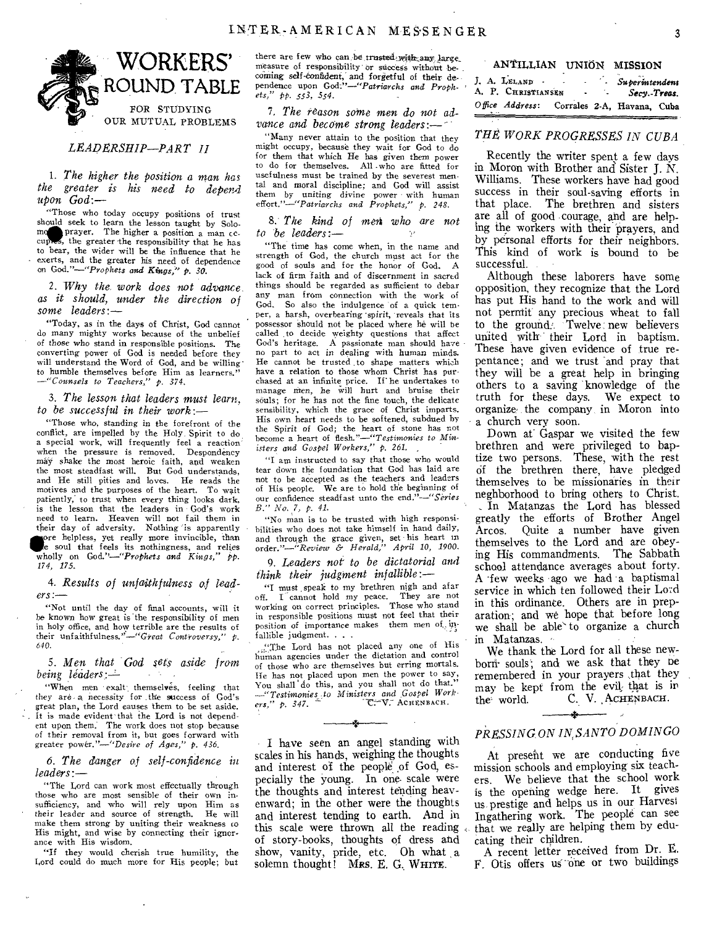

*LEADERSHIP—PART II* 

*1. The higher the position a man has the greater is his need to depend upon God:—* 

"Those who today occupy positions of trust should seek to learn the lesson taught by Solo-<br>more prayer. The higher a position a man comoment prayer. The higher a position a man cc--<br>cuppes, the greater the responsibility that he has s, the greater the responsibility that he has to bear, the wider will be the influence that he exerts, and the greater his need of dependence on *God."—"Prophets and Kings," p. 30.* 

*2. Why the. work does not advance as it should, under the direction of some leaders:—* 

"Today, as in the days of Christ, God cannot do many mighty works because of the unbelief of those who stand in responsible positions. The converting power of God is needed before they will understand the Word of God, and be willing to humble themselves before Him as learners." *---"Counsels to Teachers," p. 374.* 

*3. The lesson that leaders must learn, to be successful in their work:—* 

"Those who, standing in the forefront of the conflict, are impelled by the Holy. Spirit to do a special work, will frequently feel a reaction when the pressure is removed. Despondency may shake the most heroic faith, and weaken the most steadfast will. But God understands, and He still pities and loves. He reads the motives and the purposes of the heart. To wait patiently, to trust when every thing looks dark, is the lesson that the leaders in God's work need to learn. Heaven will not fail them in their day of adversity. Nothing is apparently pore helpless, yet really more invincible, than

**up,** soul that feels its nothingness, and relies wholly on *God.*"-"Prophets and Kings," pp. *174, 17,5.* 

*4. Results of unfaithfulness of leaders :—* 

"Not until the day of final accounts, will it be known how great is 'the responsibility of men in holy office, and how terrible are the results of their unfaithfulness."—"Great *Controversy," p. 640.* 

5. Men that God sets aside from *being leaders:* 

"When men exalt themselves, feeling that they are- a necessity for the success of God's great plan, the Lord causes them to be set aside. It is made evident' that the Lord is not dependent upon them. The work does not stop because of their removal from it, but goes forward with greater *power."—"Desire of Ages," p. 436.* 

*6. The danger of self-confidence in leaders:—* 

"The Lord can work most effectually through those who are most sensible of their own insufficiency, and who will rely upon Him as their leader and source of strength. He will make them strong by uniting their weakness to His might, and wise by connecting their ignorance with His wisdom.

"If they would cherish true humility, the Lord could do much more for His people; but there are few who can, be trusted with any large. measure of responsibility or success without becoming self-confident, and forgetful of their de- *J. A. LELAND*<br>pendence upon *God:"—"Patriarchs and Proph-* ' **A. P. CHRISTIANSEN**<br>ets," pp. 553, 554.

*7, The reason some men do not advance and become strong leaders:-*

"Many never attain to the position that they might occupy, because they wait for God to do for them that which He has *given* them power to do for themselves. All -who are fitted for usefulness must be trained by the severest mental and moral discipline; and God will assist them by uniting divine power with human effort."—"Patriarchs *and Prophets," P. 248.* 

8.' *The kind of mei'i who are not to be leaders:—* 

"The time has come when, in the name and strength of God, the church must act for the good of souls and for the honor of God. A lack of firm faith and of discernment in sacred things should be regarded as sufficient to debar any man from connection with the work of God. So also the indulgence 'of a quick temper, a harsh, overhearing 'spirit, reveals that its possessor should not be placed where he will be called to decide weighty questions that affect God's heritage. A passionate man should have no part to act in dealing with human minds. He cannot be trusted to shape matters which have a relation to those whom Christ has purchased at an infinite price. If' he undertakes to manage men, he will hurt and bruise their souls; for he has not the fine touch, the delicate sensibility, which the grace of Christ imparts. His own heart needs to be softened, subdued by the Spirit of God; the heart of stone has not become a heart of *flesh."—"Testimonies to Ministers* and *Gospel Workers," p. 261. ,* 

*"I* am instructed to say that those who would tear down the foundation that God has laid are not to be accepted as the teachers and leaders of His people. We are to hold the beginning of our confidence steadfast unto the *end."--"Series B.*" *No.* 7, *p.* 41.

"No man is to be trusted with high responsibilities who does not take himself in hand daily, and through the grace given, set his heart in order."—"Review & *Herald," April 10, 1900.* 

9. *Leaders not to be dictatorial and think their judgment infallible:—* 

"I must speak to my brethren nigh and afar<br>off. I cannot hold my peace. They are not I cannot hold my peace. working on correct principles. Those who stand in responsible positions must not feel that their position of importance makes them men of, infallible judgment. , . .

... The Lord has not placed any one of His human agencies under the dictation and control of those who are themselves but erring mortals. lie has not placed upon men the power to say, You shall do this, and you shall not do that. *—"Testimonies-to Ministers and Gospel Work-ers," p. 347. --* HENBACH. AC

.<br>A

I have seen an angel standing with scales in his hands, weighing the thoughts and interest of the people of God, especially the young. In one. scale were the thoughts and interest tending heavenward; in the other were the thoughts and interest tending to earth. And in this scale were thrown all the reading of story-books, thoughts of dress and show, vanity, pride, etc. Oh what a solemn thought! Mrs. E. G. WHITE.

| ANTILLIAN | UNIÓN | <b>MISSION</b> |
|-----------|-------|----------------|
|-----------|-------|----------------|

| J. A. LELAND -<br>A. P. CHRISTIANSEN | $\blacksquare$ | Superintendent<br>Secy Treas.              |  |
|--------------------------------------|----------------|--------------------------------------------|--|
|                                      |                | Office Address: Corrales 2-A, Havana, Cuba |  |

#### *THE WORK PROGRESSES IN CUBA*

Recently the writer spent a few days in Moron with Brother and Sister J. N. Williams. These workers have had good success in their soul-saving efforts in that place. The brethren and sisters are all of good courage, and are helping the workers with their prayers, and by personal efforts for their neighbors. This kind of work is bound to be successful.

Although these laborers have some opposition, they recognize that the Lord has put His hand to the work and will not permit any precious wheat to fall to the ground. Twelve new believers united with their Lord in baptism. These have given evidence of true repentance; and we trust and pray that they will be a great help in bringing others to a saving knowledge of the truth for these days. We expect to organize' the company in Moron into a church very soon.

Down at Gaspar we visited the few brethren and were privileged to baptize two persons. These, with the rest of the brethren there, have pledged themselves to be missionaries in their neghborhood to bring others to Christ. In Matanzas the Lord has blessed greatly the efforts of Brother Angel Arcos. Quite a number have given themselves to the Lord and are obeying His commandments. The Sabbath school attendance averages about forty. A 'few weeks ago we had a baptismal service in which ten followed their Lord in this ordinance. Others are in preparation; and we hope that before long we shall be able' to organize a church in Matanzas. •

We thank the Lord for all these newborn- souls; and we ask that they be remembered in your prayers ,that they may be kept from the evil that is in the world. C. V. ACHENBACH. C. V. ACHENBACH.

# .<br>He *PRESSING ON IN, SANTO DOMINGO*

At present we are conducting five mission schools and employing six teachers. We believe that the school work is the opening wedge here. It gives us prestige and helps us in our Harvest Ingathering work. The people can see that we really are helping them by educating their children.

A recent letter received from Dr. E. F. Otis offers us one or two buildings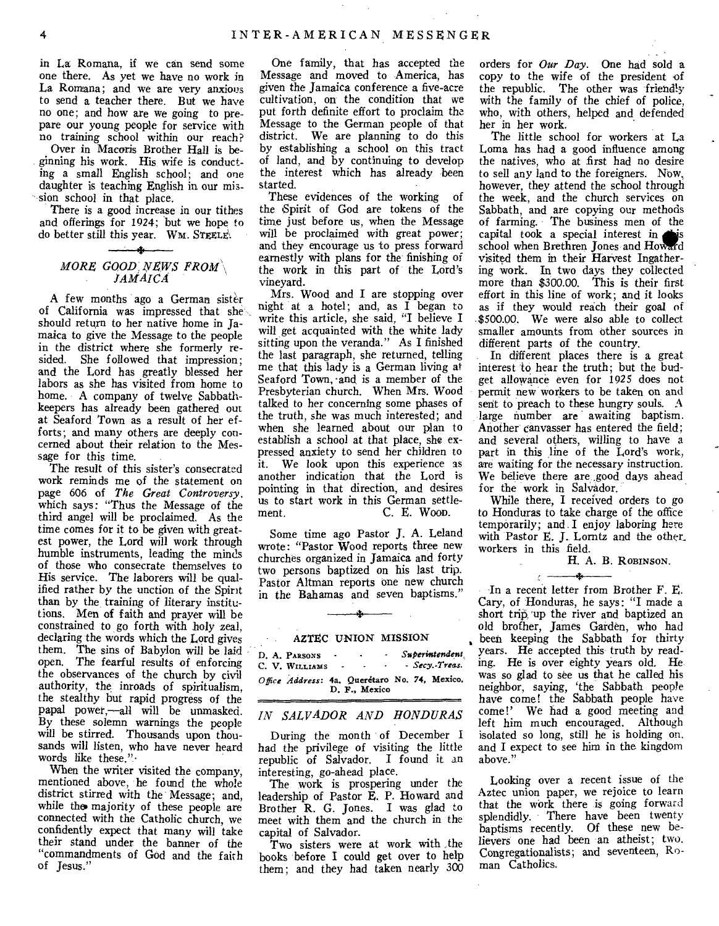in La Romana, if we can send some one there. As yet we have no work in La Romana; and we are very anxious to send a teacher there. But we have no one; and how are we going to prepare our young people for service with no training school within our reach?

Over in Macoris Brother Hall is beginning his work. His wife is conducting a small English school; and one daughter is teaching English in our mission school in that place.

There is a good increase in our tithes and offerings for 1924; but we hope to do better still this year. WM. STEELE\

#### of  ${\tt MORE}$  GOOD NEWS FROM  $\backslash$ *JAMAICA*

A few months ago a German sister of California was impressed that she should return to her native home in Jamaica to give the Message to the people in the district where she formerly resided. She followed that impression; and the Lord has greatly blessed her labors as she has visited from home to home. A company of twelve Sabbathkeepers has already been gathered out at Seaford Town as a result of her efforts; and many others are deeply concerned about their relation to the Message for this time.

The result of this sister's consecrated work reminds me of the statement on page 606 of *The Great Controversy,*  which says: "Thus the Message of the third angel will be proclaimed. As the time comes for it to be given with greatest power, the Lord will work through humble instruments, leading the minds of those who consecrate themselves to His service. The laborers will be qualified rather by the unction of the Spirit than by the training of literary institutions. Men of faith and prayer will be constrained to go forth with holy zeal, declaring the words which the Lord gives them. The sins of Babylon will be laid open. The fearful results of enforcing the observances of the church by civil authority, the inroads of spiritualism, the stealthy but rapid progress of the papal power,—all will be unmasked. By these solemn warnings the people will be stirred. Thousands upon thousands will listen, who have never heard words like these."

When the writer visited the company, mentioned above, he found the whole district stirred with the Message; and, while the majority of these people are connected with the Catholic church, we confidently expect that many will take their stand under the banner of the "commandments of God and the faith of Jesus."

One family, that has accepted the Message and moved to America, has given the Jamaica conference a five-acre cultivation, on the condition that we put forth definite effort to proclaim the Message to the German people of that district. We are planning to do this by establishing a school on this tract of land, and by continuing to develop the interest which has already been started.

These evidences of the working of the Spirit of God are tokens of the time just before us, when the Message will be proclaimed with great power; and they encourage us to press forward earnestly with plans for the finishing of the work in this part of the Lord's vineyard.

Mrs. Wood and I are stopping over night at a hotel; and, as I began to write this article, she said, "I believe I will get acquainted with the white lady sitting upon the veranda." As I finished the last paragraph, she returned, telling me that this lady is a German living at Seaford Town, and is a member of the Presbyterian church. When Mrs. Wood talked to her concerning some phases of the truth, she was much interested; and when she learned about our plan to establish a school at that place, she expressed anxiety to send her children to it. We look upon this experience as another indication that the Lord is pointing in that direction, and desires us to start work in this German settle-C. E. Woop.

Some time ago Pastor J. A. Leland wrote: "Pastor Wood reports three new churches organized in Jamaica and forty two persons baptized on his last trip. Pastor Altman reports one new church in the Bahamas and seven baptisms."

# 3- AZTEC UNION MISSION

| D. A. PARSONS<br>C. V. WILLIAMS | $\sim$ $\sim$ | ٠<br>$\sim$<br><b>Contract Contract</b>                        |  | Superintendent<br>- Secy.-Treas. |
|---------------------------------|---------------|----------------------------------------------------------------|--|----------------------------------|
|                                 |               | Office Address: 4a, Queretaro No. 74, Mexico,<br>D. F., Mexico |  |                                  |

#### *IN SALVADOR AND HONDURAS*

During the month of December I had the privilege of visiting the little republic of Salvador. I found it an interesting, go-ahead place.

The work is prospering under the leadership of Pastor E. P. Howard and Brother R. G. Jones. I was glad to meet with them and the church in the capital of Salvador.

Two sisters were at work with ,the books before I could get over to help them; and they had taken nearly 300 orders for *Our Day.* One had sold a copy to the wife of the president of the republic. The other was friendly with the family of the chief of police, who, with others, helped and defended her in her work.

The little school for workers at La Loma has had a good influence among the natives, who at first had no desire to sell any land to the foreigners. Now. however, they attend the school through the week, and the church services on Sabbath, and are copying our methods of farming. The business men of the capital took a special interest in sis school when Brethren Jones and Howard visited them in their Harvest Ingathering work. In two days they collected more than \$300.00. This is their first effort in this line of work; and it looks as if they would reach their goal of \$500.00. We were also able to collect smaller amounts from other sources in different parts of the country.

In different places there is a great interest to hear the truth; but the budget allowance even for 1925 does not permit new workers to be taken on and sent to preach to these hungry souls. A large number are awaiting baptism. Another canvasser has entered the field; and several others, willing to have a part in this line of the Lord's work, are waiting for the necessary instruction. We believe there are good days ahead for the work in Salvador.

While there, I received orders to go to Honduras to take charge of the office temporarily; and .I enjoy laboring here with Pastor E. J. Lorntz and the other\_ workers in this field.

H. A. B. ROBINSON.

4 In a recent letter from Brother F. E. Cary, of Honduras, he says: "I made a short trip, up the river and baptized an old brother, James Garden, who had been keeping the Sabbath for thirty years. He accepted this truth by reading. He is over eighty years old. He was so glad to see us that he called his neighbor, saying, 'the Sabbath people have come! the Sabbath people have come!' We had a good meeting and left him much encouraged. Although isolated so long, still he is holding on, and I expect to see him in the kingdom above."

Looking over a recent issue of the Aztec union paper, we rejoice to learn that the work there is going forward splendidly. There have been twenty baptisms recently. Of these new believers one had been an atheist; two. Congregationalists; and seventeen, Roman Catholics.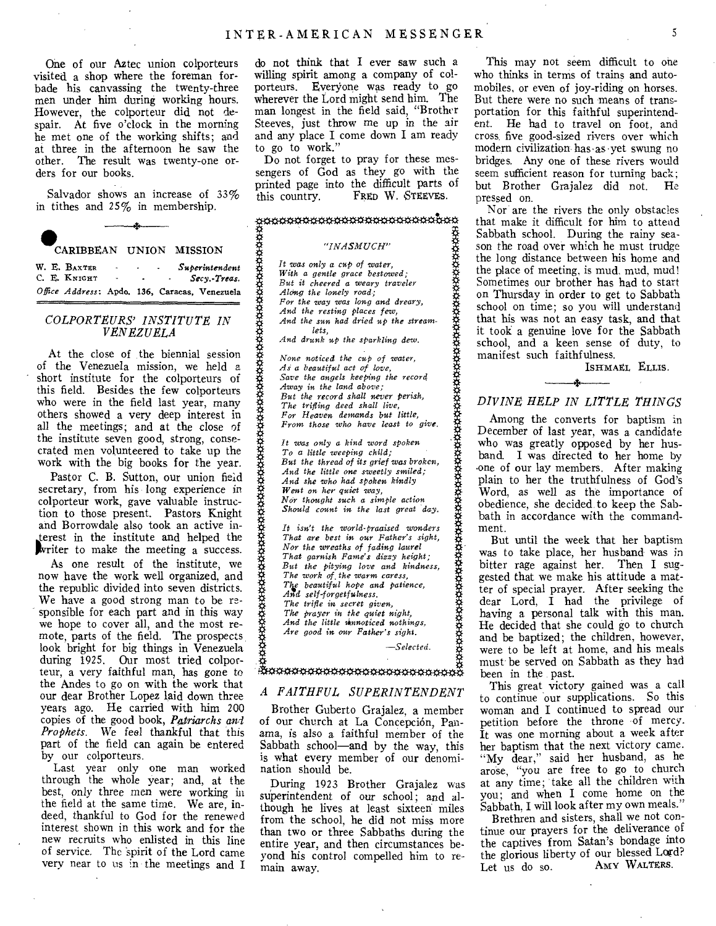One of our Aztec union colporteurs visited a shop where the foreman forbade his canvassing the twenty-three men under him during working hours. However, the colporteur did not despair. At five o'clock in the morning he met one of the working shifts; and at three in the afternoon he saw the other. The result was twenty-one orders for our books.

Salvador shows an increase of 33%

in tithes and 25% in membership. CARIBBEAN UNION MISSION

*W. E. BAXTER - - Superintendent*  С. Е. К<sub>NIGHT</sub> *Office Address:* Apdo. 136, Caracas, Venezuela

#### *COLPORTEURS' INSTITUTE IN VENEZUELA*

At the close of the biennial session of the Venezuela mission, we held a short institute for the colporteurs of this field. Besides the few colporteurs who were in the field last year, many others showed a very deep interest in all the meetings; and at the close of the institute seven good, strong, consecrated men volunteered to take up the work with the big books for the year.

Pastor C. B. Sutton, our union field secretary, from his long experience in colporteur work, gave valuable instruction to those present. Pastors Knight and Borrowdale also took an active interest in the institute and helped the writer to make the meeting a success.

As one result of the institute, we now have the work well organized, and the republic divided into seven districts. We have a good strong man to be responsible for each part and in this way we hope to cover all, and the most remote, parts of the field. The prospects look bright for big things in Venezuela during 1925. Our most tried colporteur, a very faithful man, has gone to the Andes to go on with the work that our dear Brother Lopez laid down three years ago. He carried with him 200 copies of the good book, *Patriarchs and Prophets.* We feel thankful that this part of the field can again be entered by our colporteurs.

Last year only one man worked through the whole year; and, at the best, only three men were working in the field at the same time. We are, indeed, thankful to God for the renewed interest shown in this work and for the new recruits who enlisted in this line of service. The 'spirit of the Lord came very near to us in the meetings and I

do not think that I ever saw such a willing spirit among a company of colporteurs. Everyone was ready to go wherever the Lord might send him. The man longest in the field said, "Brother Steeves, just throw me up in the air and any place I come down I am ready to go to work."

Do not forget to pray for these messengers of God as they go with the printed page into the difficult parts of this country. FRED W. STEEVES. FRED W. STEEVES.

# ggggggggggggggggggggggggggggg<br>A

#### *"INASMUCH"*

*It was only a cup of water, With a gentle grace bestowed; But it cheered a weary traveler Along the lonely road; For the way was long and dreary, And the resting places few, And the sun had dried up the streamlets, And drunk up the sparkling dew.* 

*None noticed the cup of water, As a beautiful act of love, Save the angels keeping the record Away in the land above; But the record shall never Perish, The trifling deed shall live, For Heaven demands but little, From those who have least to give.* 

*It was only a kind word spoken To a little weeping child; But the thread of its grief was broken, And the little one sweetly smiled; And she who had spoken kindly Went on her quiet way, Nor thought such a simple action Should count in the last great 'day.* 

*It isn't the world-praaised wonders That are best in our Father's sight, Nor the wreaths of fading laurel That garnish Fame's dizzy height; But the pitying love and kindness, The work of the warm caress,<br>The beautiful hope and patience,<br>And self-forgetfulness. The trifle in secret given, The prayer in the quiet night, And the little Tinnoticed nothings, Are good in our Father's sight.* 

*—Selected.* 

#### **Boooooooooooooooooooooooooooo**

#### *A FAITHFUL SUPERINTENDENT*

Brother Guberto Grajalez, a member of our church at La Concepcion, Panama, is also a faithful member of the Sabbath school—and by the way, this is what every member of our denomination should be.

During 1923 Brother Grajalez was superintendent of our school; and although he lives at least sixteen miles from the school, he did not miss more than two or three Sabbaths during the entire year, and then circumstances beyond his control compelled him to remain away.

This may not seem difficult to one who thinks in terms of trains and automobiles, or even of joy-riding on horses. But there were no such means of transportation for this faithful superintendent. He had to travel on foot, and cross five good-sized rivers over which modern civilization has•as yet swung no bridges. Any one of these rivers would seem sufficient reason for turning back; but Brother Grajalez did not. He pressed on.

Nor are the rivers the only obstacles that make it difficult for him to attend Sabbath school. During the rainy season the road over which he must trudge the long distance between his home and the place of meeting, is mud. mud, mud! Sometimes our brother has had to start on Thursday in order to get to Sabbath school on time; so you will understand that his was not an easy task, and that it took a genuine love for the Sabbath school, and a keen sense of duty, to manifest such faithfulness.

ISHMAEL ELLIS.

# *DIVINE' HELP IN LITTLE THINGS*

Among the converts for baptism in December of last year, was a candidate who was greatly opposed by her husband. I was directed to her home by .one of our lay members. After making plain to her the truthfulness of God's Word, as well as the importance of obedience, she decided, to keep the Sabbath in accordance with the commandment.

But until the week that her baptism was to take place, her husband was in bitter rage against her. Then I suggested that we make his attitude a matter of special prayer. After seeking the dear Lord, I had the privilege of having a personal talk with this man. He decided that she could go to church and be baptized; the children, however, were to be left at home, and his meals must be served on Sabbath as they had been in the past.

This great victory gained was a call to continue our supplications. So this woman and I continued to spread our petition before the throne of mercy. It was one morning about a week after her baptism that the next victory came. "My dear," said her husband, as he arose, "you are free to go to church at any time; take all the children with you; and when I come home on the Sabbath, I will look after my own meals."

Brethren and sisters, shall we not continue our prayers for the deliverance of the captives from Satan's bondage into the glorious liberty of our blessed Lord?<br>Let us do so AMY WALTERS. Let  $\overline{\phantom{a}}$  us do so.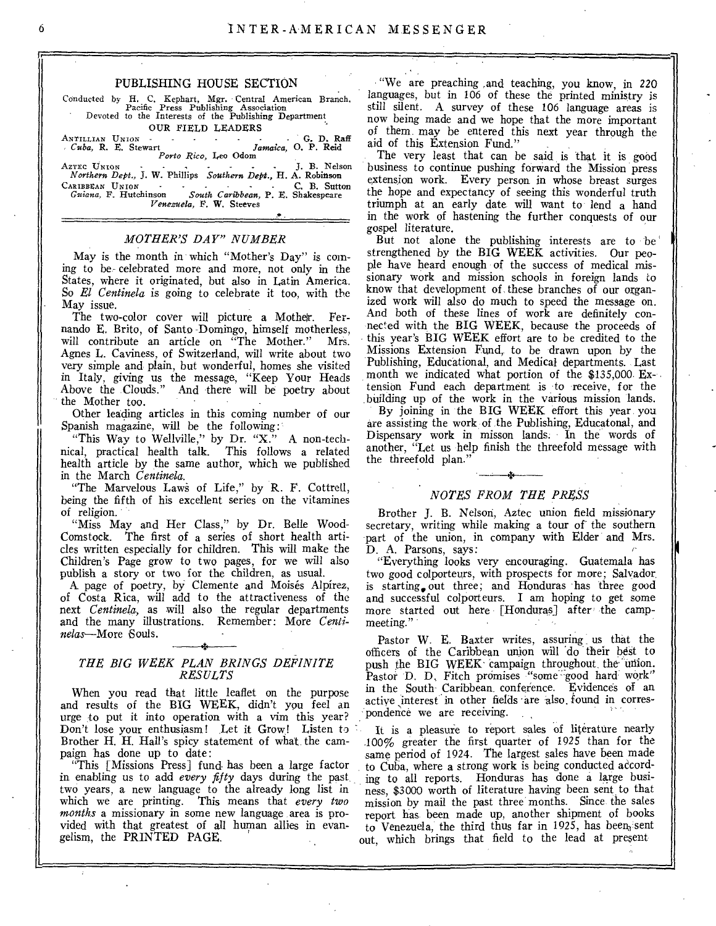#### PUBLISHING HOUSE SECTION

Conducted by H. C. Kephart, Mgr. Central American Branch. Pacific Press Publishing Association Devoted to the Interests of the Publishing Department

OUR FIELD LEADERS<br> *Cuba*, R. E. Stewart *Jamaica*, O. P. Reid<br> *Porto Rico*, Leo Odom<br> *AzTEC UNION* 

AZTEC UNION J. B. Nelson<br>*Northern Dept.*, J. W. Phillips *Southern Dept.*, H. A. Robinson<br>CARIBBEAN UNION C. B. Sutton CARIBBEAN UNION C. B. Sutton *Guiana,* F. Hutchinson *South Caribbean,* P. E. Shakespeare *Venezuela,* F. W. Steeves

#### *MOTHER'S DAY" NUMBER*

May is the month in which "Mother's Day" is coming to be- celebrated more and more, not only in the States, where it originated, but also in Latin America. So *El Centinela* is going to celebrate it too, with the May issue.

The two-color cover will picture a Motheir. Fernando E. Brito, of Santo -Domingo, himself motherless, will contribute an article on "The Mother." Mrs. Agnes L. Caviness, of Switzerland, will write about two very simple and plain, but wonderful, homes she visited in Italy, giving us the message, "Keep Your Heads Above the Clouds." And there will be poetry about the Mother too.

Other leading articles in this coming number of our Spanish magazine, will be the following:

"This Way to Wellville," by Dr. "X." A non-technical, practical health talk. This follows a related health article by the same author, which we published in the March *Centinela.* 

"The Marvelous Laws of Life," by R. F. Cottrell, being the fifth of his excellent series on the vitamines of religion.

"Miss May and Her Class," by Dr. Belle Wood-Comstock. The first of a series of short health articles written especially for children. This will make the Children's Page grow to two pages, for we will also publish a story or two for the children, as usual.

A page of poetry, by Clemente and Moisés Alpírez, of Costa Rica, will add to the attractiveness of the next *Centinela,* as will also the regular departments and the many illustrations. Remember: More *Centinelas—More* Souls.

#### *THE BIG WEEK PLAN BRINGS DEFINITE RESULTS*

When you read that little leaflet on the purpose and results of the BIG WEEK, didn't you feel an urge to put it into operation with a vim this year? Don't lose your enthusiasm! Let it Grow! Listen to Brother H. H. Hall's spicy statement of what the campaign has done up to date:

"This [Missions Press] fund. has been a large factor in enabling us to add *every fifty* days during the past two years, a new language to the already long list in which we are printing. This means that *every two months* a missionary in some new language area is provided with that greatest of all human allies in evangelism, the PRINTED PAGE.

"We are preaching ,and teaching, you know, in 220 languages, but in 106 of these the printed ministry is still silent. A survey of these 106 language areas is now being made and we hope that the more important of them may be entered this next year through the aid of this Extension Fund."

The very least that can be said is that it is good business to continue pushing forward the Mission press extension work. Every person in whose breast surges the hope and expectancy of seeing this wonderful truth triumph at an early date will want to lend a hand in the work of hastening the further conquests of our gospel literature.

But not alone the publishing interests are to be' strengthened by the BIG WEEK activities. Our people have heard enough of the success of medical missionary work and mission schools in foreign lands to know that development of, these branches of our organized work will also do much to speed the message on. And both of these lines of work are definitely connected with the BIG WEEK, because the proceeds of this year's BIG WEEK effort are to be credited to the Missions Extension Fund, to be drawn upon by the Publishing, Educational, and Medical departments. Last month we indicated what portion of the \$135,000. Extension Fund each department is to receive, for the building up of the work in the various mission lands.

By joining in the BIG WEEK effort this year, you are assisting the work of the Publishing, Educatonal, and Dispensary work in misson lands. In the words of another, "Let us help finish the threefold message with the threefold plan."

#### *NOTES FROM THE PRESS*

Brother J. B. Nelson, Aztec union field missionary secretary, writing while making a tour of the southern part of the union, in company with Elder and Mrs. D. A. Parsons, says:

"Everything looks very encouraging. Guatemala has two good colporteurs, with prospects for more; Salvador, is starting, out three; and Honduras has three good and successful colporteurs. I am hoping to get some more started out here [Honduras] after the campmeeting."

Pastor W. E. Baxter writes, assuring us that the officers of the Caribbean union will 'do their best to push the BIG WEEK campaign throughout the union. Pastor D. D. Fitch promises "some good hard work" in the South- Caribbean. conference. Evidences of an active interest in other fields •are also, found in correspondence we are receiving. .

It is a pleasure to report sales of literature nearly .100% greater the first quarter of 1925 than for the same period of 1924. The largest sales have been made to Cuba, where a strong work is being conducted according to all reports. Honduras has done a large business, \$3000 worth of literature having been sent to that mission by mail the past three months. Since the sales report has been made up, another shipment of books to Venezuela, the third thus far in 1925, has been sent out, which brings that field to the lead at present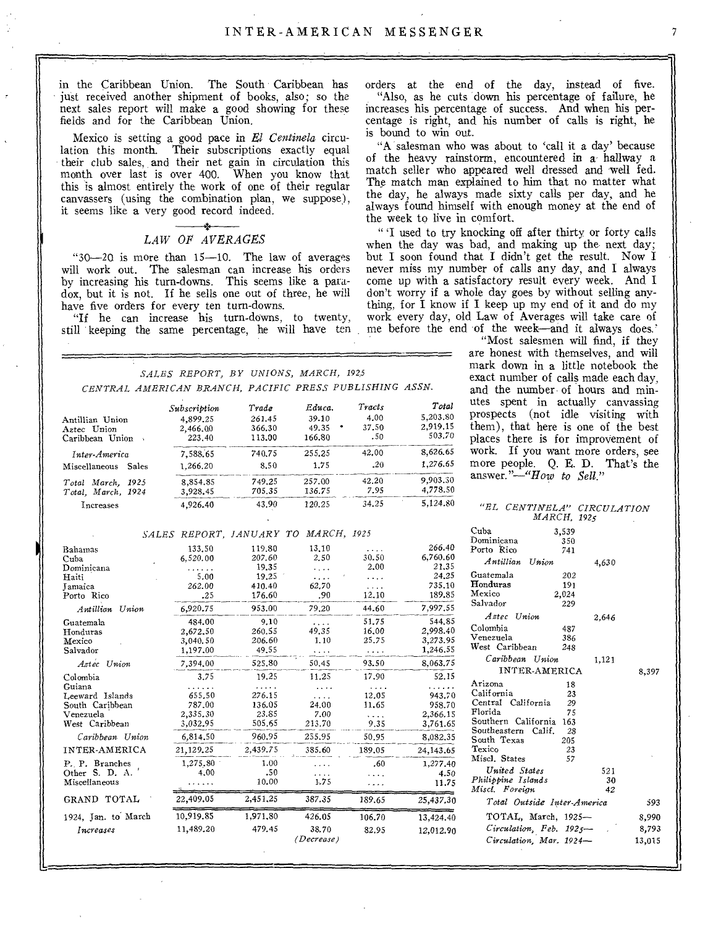in the Caribbean Union. The South Caribbean has just received another shipment of books, also; so the next sales report will make a good showing for these fields and for the Caribbean Union.

Mexico is setting a good pace in *El Centinela* circu-Their subscriptions exactly equal their club sales, and their net gain in circulation this month over last is over 400. When you know that this is almost entirely the work of one of their regular canvassers (using the combination plan, we suppose), it seems like a very good record indeed.

# *LAW OF AVERAGES*

" $30-20$  is more than  $15-10$ . The law of averages will work out. The salesman can increase his orders by increasing his turn-downs. This seems like a paradox, but it is not. If he sells one out of three, he will have five orders for every ten turn-downs.

"If he can increase his turn-downs, to twenty, still keeping the same percentage, he will have ten

orders at the end of the day, instead of five. "Also, as he cuts down his percentage of failure, he increases his percentage of success. And when his percentage is right, and his number of calls is right, he is bound to win out.

"A salesman who was about to 'call it a day' because of the heavy rainstorm, encountered in a- hallway a match seller who appeared well dressed and well fed. The match man explained to him that no matter what the day, he always made sixty calls per day, and he always found himself with enough money at the end of the week to live in comfort.

" 'I used to try knocking off after thirty or forty calls when the day was bad, and making up the next day; but I soon found that I didn't get the result. Now I never miss my number of calls any day, and I always come up with a satisfactory result every week. And I don't worry if a whole day goes by without selling anything, for I know if I keep up my end of it and do my work every day, old Law of Averages will take care of me before the end of the week-and it always does.'

"Most salesmen will find, if they are honest with themselves, and will mark down in a little notebook the exact number of calls made each day, and the number of hours and minutes spent in actually canvassing prospects (not idle visiting with them), that here is one of the best places there is for improvement of work. If you want more orders, see more people. Q. E. D. That's the answer."-"How *to Sell."* 

|  | SALES REPORT, BY UNIONS, MARCH, 1925 |  |                                                         |  |
|--|--------------------------------------|--|---------------------------------------------------------|--|
|  |                                      |  | CENTRAL AMERICAN BRANCH, PACIFIC PRESS PUBLISHING ASSN. |  |

|                        | Subscription | Trade  | Educa. | Tracts | Total    |
|------------------------|--------------|--------|--------|--------|----------|
| Antillian Union        | 4.899.25     | 261.45 | 39.10  | 4.00   | 5,203.80 |
| Aztec Union            | 2,466,00     | 366.30 | 49.35  | 37.50  | 2,919.15 |
| Caribbean Union        | 223.40       | 113.00 | 166.80 | .50    | 503.70   |
| Inter-America          | 7.588.65     | 740.75 | 255.25 | 42.00  | 8,626,65 |
| Miscellaneous<br>Sales | 1,266.20     | 8.50   | 1.75   | .20    | 1.276.65 |
| Total March. 1925      | 8,854.85     | 749.25 | 257.00 | 42.20  | 9.903.30 |
| Total, March, 1924     | 3,928.45     | 705.35 | 136.75 | 7.95   | 4.778.50 |
| Increases              | 4,926.40     | 43.90  | 120.25 | 34.25  | 5.124.80 |

#### *SALES REPORT, JANUARY TO MARCH, 1925*

| Bahamas<br>Cuba<br>Dominicana<br>Haiti<br>Tamaica                                                                                                               | 133.50<br>6.520.00<br>.<br>5.00<br>262.00                                                     | 119.80<br>207.60<br>19.35<br>19.25<br>410.40                                                  | 13,10<br>2.50<br>.<br>.<br>62.70                               | 30.50<br>2.00<br>.<br>.                                             | 266.40<br>6.760.60<br>21.35<br>24,25<br>735.10                                                   |
|-----------------------------------------------------------------------------------------------------------------------------------------------------------------|-----------------------------------------------------------------------------------------------|-----------------------------------------------------------------------------------------------|----------------------------------------------------------------|---------------------------------------------------------------------|--------------------------------------------------------------------------------------------------|
| Porto Rico                                                                                                                                                      | .25                                                                                           | 176.60                                                                                        | .90                                                            | 12.10                                                               | 189.85                                                                                           |
| Antillian Union                                                                                                                                                 | 6.920.75                                                                                      | 953.00                                                                                        | 79,20                                                          | 44.60                                                               | 7,997.55                                                                                         |
| Guatemala<br>Honduras<br>Mexico<br>Salvador                                                                                                                     | 484.00<br>2,672,50<br>3,040.50<br>1,197.00                                                    | 9.10<br>260.55<br>206.60<br>49.55                                                             | $\cdots$<br>49.35<br>1.10<br>$\cdots$                          | 51.75<br>16.00<br>25.75<br>.                                        | 544.85<br>2,998.40<br>3,273.95<br>1,246.55                                                       |
| Astec Union                                                                                                                                                     | 7.394.00                                                                                      | 525.80                                                                                        | 50.45                                                          | 93.50                                                               | 8,063,75                                                                                         |
| Colombia<br>Guiana<br>Leeward Islands<br>South Caribbean<br>Venezuela<br>West Caribbean<br>Caribbean Union<br>INTER-AMERICA<br>P. P. Branches<br>Other S. D. A. | 3.75<br>655.50<br>787.00<br>2,335.30<br>3.032.95<br>6.814.50<br>21,129,25<br>1,275.80<br>4.00 | 19.25<br>$\cdots$<br>276.15<br>136.05<br>23.85<br>505.65<br>960.95<br>2.439.75<br>1.00<br>.50 | 11.25<br>.<br>24.00<br>7.00<br>213.70<br>255.95<br>385.60<br>. | 17.90<br>.<br>12.05<br>11.65<br>.<br>9.35<br>50.95<br>189.05<br>.60 | 52.15<br>943.70<br>958.70<br>2,366.15<br>3,761.65<br>8,082.35<br>24, 143, 65<br>1,277.40<br>4.50 |
| Miscellaneous                                                                                                                                                   |                                                                                               | 10.00                                                                                         | 1.75                                                           |                                                                     | 11.75                                                                                            |
| GRAND TOTAL                                                                                                                                                     | 22,409.05                                                                                     | 2,451,25                                                                                      | 387.35                                                         | 189.65                                                              | 25,437.30                                                                                        |
| 1924, Jan. to March<br>Increases                                                                                                                                | 10,919,85<br>11,489.20                                                                        | 1,971,80<br>479.45                                                                            | 426.05<br>38.70<br>(Decrease)                                  | 106.70<br>82.95                                                     | 13,424.40<br>12,012.90                                                                           |

*"EL CENTINELA" CIRCULATION MARCH, 1925* 

| Cuba<br>3,539               |        |
|-----------------------------|--------|
| Dominicana<br>350           |        |
| Porto Rico<br>741           |        |
| Antillian Union             | 4,630  |
| Guatemala                   | 202    |
| Honduras                    | 191    |
| Mexico<br>2,024             |        |
| Salvador<br>229             |        |
| Aztec Union                 | 2.646  |
| Colombia                    | 487    |
| Venezuela                   | 386    |
| West Caribbean              | 248    |
| Caribbean Union             | 1,121  |
| <b>INTER-AMERICA</b>        | 8,397  |
| Arizona                     | 18     |
| California                  | 23     |
| Central California          | 29     |
| Florida                     | 75     |
| Southern California         | 163    |
| Southeastern Calif.<br>- 28 |        |
| South Texas<br>205          |        |
| Texico                      | 23     |
| Miscl. States               | 57     |
| United States               | 521    |
| Philippine Islands          | 30     |
| Miscl. Foreian              | 42     |
| Total Outside Inter-America | 593    |
| TOTAL, March, 1925-         | 8,990  |
| Circulation, Feb. 1925-     | 8.793  |
| Circulation, Mar. 1924-     | 13,015 |
|                             |        |